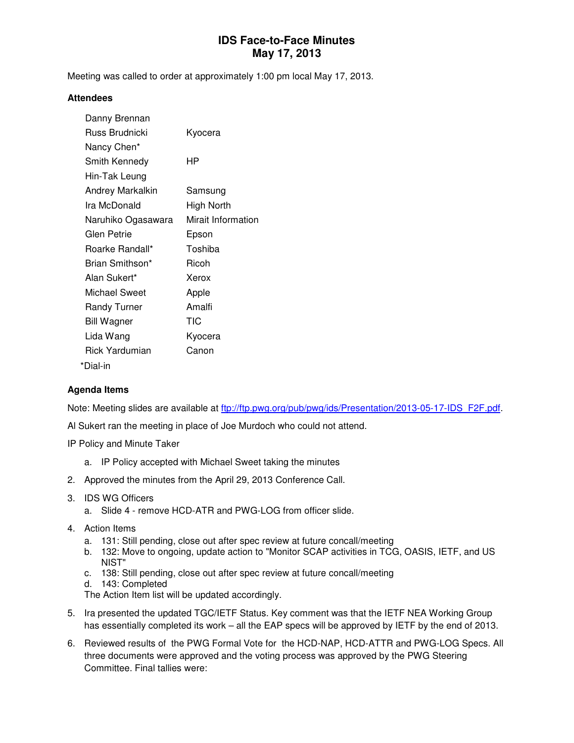# **IDS Face-to-Face Minutes May 17, 2013**

Meeting was called to order at approximately 1:00 pm local May 17, 2013.

#### **Attendees**

| Danny Brennan       |                    |
|---------------------|--------------------|
| Russ Brudnicki      | Kyocera            |
| Nancy Chen*         |                    |
| Smith Kennedy       | HР                 |
| Hin-Tak Leung       |                    |
| Andrey Markalkin    | Samsung            |
| Ira McDonald        | High North         |
| Naruhiko Ogasawara  | Mirait Information |
| Glen Petrie         | Epson              |
| Roarke Randall*     | Toshiba            |
| Brian Smithson*     | Ricoh              |
| Alan Sukert*        | Xerox              |
| Michael Sweet       | Apple              |
| <b>Randy Turner</b> | Amalfi             |
| <b>Bill Wagner</b>  | TIC                |
| Lida Wang           | Kyocera            |
| Rick Yardumian      | Canon              |
| *Dial-in            |                    |

#### **Agenda Items**

Note: Meeting slides are available at ftp://ftp.pwg.org/pub/pwg/ids/Presentation/2013-05-17-IDS\_F2F.pdf.

Al Sukert ran the meeting in place of Joe Murdoch who could not attend.

IP Policy and Minute Taker

- a. IP Policy accepted with Michael Sweet taking the minutes
- 2. Approved the minutes from the April 29, 2013 Conference Call.
- 3. IDS WG Officers
	- a. Slide 4 remove HCD-ATR and PWG-LOG from officer slide.
- 4. Action Items
	- a. 131: Still pending, close out after spec review at future concall/meeting
	- b. 132: Move to ongoing, update action to "Monitor SCAP activities in TCG, OASIS, IETF, and US NIST"
	- c. 138: Still pending, close out after spec review at future concall/meeting
	- d. 143: Completed

The Action Item list will be updated accordingly.

- 5. Ira presented the updated TGC/IETF Status. Key comment was that the IETF NEA Working Group has essentially completed its work – all the EAP specs will be approved by IETF by the end of 2013.
- 6. Reviewed results of the PWG Formal Vote for the HCD-NAP, HCD-ATTR and PWG-LOG Specs. All three documents were approved and the voting process was approved by the PWG Steering Committee. Final tallies were: